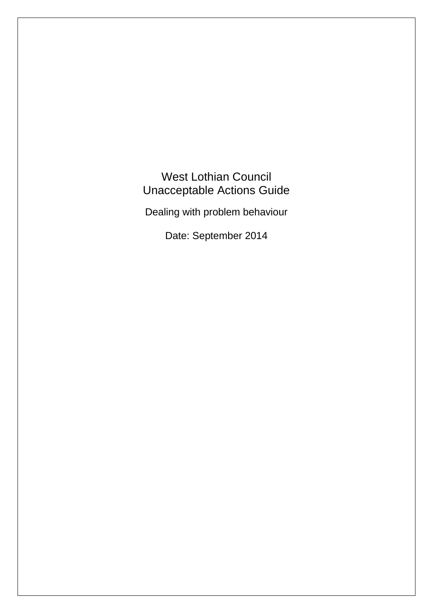West Lothian Council Unacceptable Actions Guide

Dealing with problem behaviour

Date: September 2014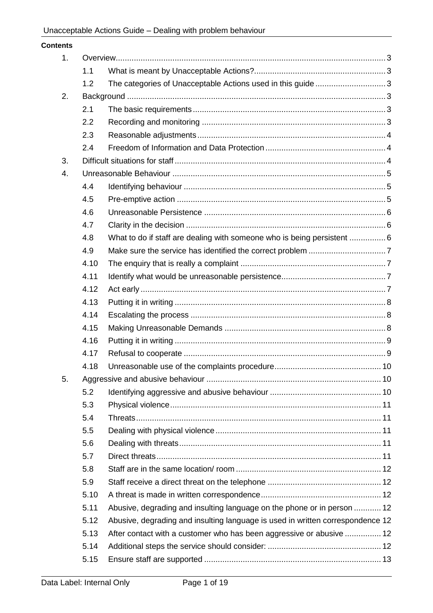| <b>Contents</b> |      |                                                                                |  |
|-----------------|------|--------------------------------------------------------------------------------|--|
| 1.              |      |                                                                                |  |
|                 | 1.1  |                                                                                |  |
|                 | 1.2  | The categories of Unacceptable Actions used in this guide 3                    |  |
| 2.              |      |                                                                                |  |
|                 | 2.1  |                                                                                |  |
|                 | 2.2  |                                                                                |  |
|                 | 2.3  |                                                                                |  |
|                 | 2.4  |                                                                                |  |
| 3.              |      |                                                                                |  |
| 4.              |      |                                                                                |  |
|                 | 4.4  |                                                                                |  |
|                 | 4.5  |                                                                                |  |
|                 | 4.6  |                                                                                |  |
|                 | 4.7  |                                                                                |  |
|                 | 4.8  | What to do if staff are dealing with someone who is being persistent  6        |  |
|                 | 4.9  |                                                                                |  |
|                 | 4.10 |                                                                                |  |
|                 | 4.11 |                                                                                |  |
|                 | 4.12 |                                                                                |  |
|                 | 4.13 |                                                                                |  |
|                 | 4.14 |                                                                                |  |
|                 | 4.15 |                                                                                |  |
|                 | 4.16 |                                                                                |  |
|                 | 4.17 |                                                                                |  |
|                 | 4.18 |                                                                                |  |
| 5.              |      |                                                                                |  |
|                 | 5.2  |                                                                                |  |
|                 | 5.3  |                                                                                |  |
|                 | 5.4  |                                                                                |  |
|                 | 5.5  |                                                                                |  |
|                 | 5.6  |                                                                                |  |
|                 | 5.7  |                                                                                |  |
|                 | 5.8  |                                                                                |  |
|                 | 5.9  |                                                                                |  |
|                 | 5.10 |                                                                                |  |
|                 | 5.11 | Abusive, degrading and insulting language on the phone or in person  12        |  |
|                 | 5.12 | Abusive, degrading and insulting language is used in written correspondence 12 |  |
|                 | 5.13 | After contact with a customer who has been aggressive or abusive  12           |  |
|                 | 5.14 |                                                                                |  |
|                 | 5.15 |                                                                                |  |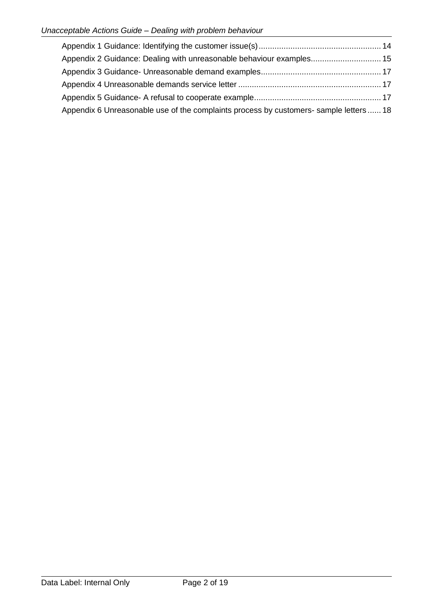| Appendix 2 Guidance: Dealing with unreasonable behaviour examples 15                   |  |
|----------------------------------------------------------------------------------------|--|
|                                                                                        |  |
|                                                                                        |  |
|                                                                                        |  |
| Appendix 6 Unreasonable use of the complaints process by customers- sample letters  18 |  |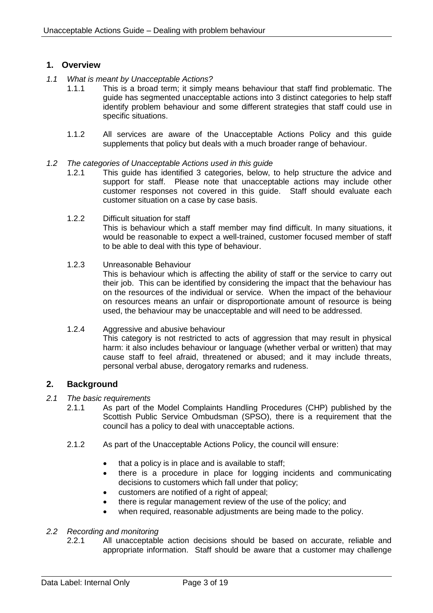## <span id="page-3-0"></span>**1. Overview**

- <span id="page-3-1"></span>*1.1 What is meant by Unacceptable Actions?*
	- 1.1.1 This is a broad term; it simply means behaviour that staff find problematic. The guide has segmented unacceptable actions into 3 distinct categories to help staff identify problem behaviour and some different strategies that staff could use in specific situations.
	- 1.1.2 All services are aware of the Unacceptable Actions Policy and this guide supplements that policy but deals with a much broader range of behaviour.
- <span id="page-3-2"></span>*1.2 The categories of Unacceptable Actions used in this guide*
	- 1.2.1 This guide has identified 3 categories, below, to help structure the advice and support for staff. Please note that unacceptable actions may include other customer responses not covered in this guide. Staff should evaluate each customer situation on a case by case basis.
	- 1.2.2 Difficult situation for staff This is behaviour which a staff member may find difficult. In many situations, it would be reasonable to expect a well-trained, customer focused member of staff to be able to deal with this type of behaviour.
	- 1.2.3 Unreasonable Behaviour This is behaviour which is affecting the ability of staff or the service to carry out their job. This can be identified by considering the impact that the behaviour has on the resources of the individual or service. When the impact of the behaviour on resources means an unfair or disproportionate amount of resource is being used, the behaviour may be unacceptable and will need to be addressed.
	- 1.2.4 Aggressive and abusive behaviour This category is not restricted to acts of aggression that may result in physical harm: it also includes behaviour or language (whether verbal or written) that may cause staff to feel afraid, threatened or abused; and it may include threats, personal verbal abuse, derogatory remarks and rudeness.

# <span id="page-3-3"></span>**2. Background**

- <span id="page-3-4"></span>*2.1 The basic requirements*
	- 2.1.1 As part of the Model Complaints Handling Procedures (CHP) published by the Scottish Public Service Ombudsman (SPSO), there is a requirement that the council has a policy to deal with unacceptable actions.
	- 2.1.2 As part of the Unacceptable Actions Policy, the council will ensure:
		- that a policy is in place and is available to staff;
		- there is a procedure in place for logging incidents and communicating decisions to customers which fall under that policy;
		- customers are notified of a right of appeal;
		- there is regular management review of the use of the policy; and
		- when required, reasonable adjustments are being made to the policy.

## <span id="page-3-5"></span>*2.2 Recording and monitoring*

2.2.1 All unacceptable action decisions should be based on accurate, reliable and appropriate information. Staff should be aware that a customer may challenge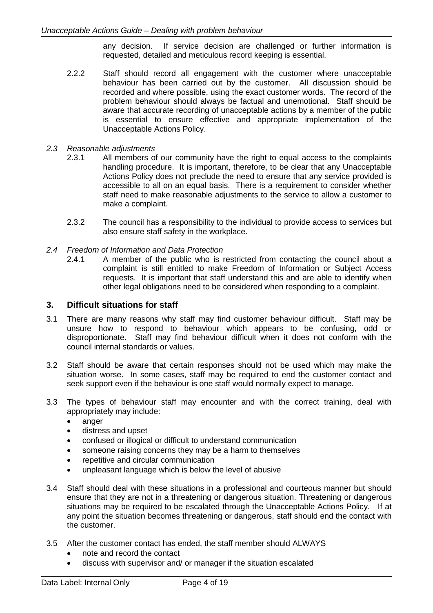any decision. If service decision are challenged or further information is requested, detailed and meticulous record keeping is essential.

- 2.2.2 Staff should record all engagement with the customer where unacceptable behaviour has been carried out by the customer. All discussion should be recorded and where possible, using the exact customer words. The record of the problem behaviour should always be factual and unemotional. Staff should be aware that accurate recording of unacceptable actions by a member of the public is essential to ensure effective and appropriate implementation of the Unacceptable Actions Policy.
- <span id="page-4-0"></span>*2.3 Reasonable adjustments*
	- 2.3.1 All members of our community have the right to equal access to the complaints handling procedure. It is important, therefore, to be clear that any Unacceptable Actions Policy does not preclude the need to ensure that any service provided is accessible to all on an equal basis. There is a requirement to consider whether staff need to make reasonable adjustments to the service to allow a customer to make a complaint.
	- 2.3.2 The council has a responsibility to the individual to provide access to services but also ensure staff safety in the workplace.
- <span id="page-4-1"></span>*2.4 Freedom of Information and Data Protection*
	- 2.4.1 A member of the public who is restricted from contacting the council about a complaint is still entitled to make Freedom of Information or Subject Access requests. It is important that staff understand this and are able to identify when other legal obligations need to be considered when responding to a complaint.

### <span id="page-4-2"></span>**3. Difficult situations for staff**

- 3.1 There are many reasons why staff may find customer behaviour difficult. Staff may be unsure how to respond to behaviour which appears to be confusing, odd or disproportionate. Staff may find behaviour difficult when it does not conform with the council internal standards or values.
- 3.2 Staff should be aware that certain responses should not be used which may make the situation worse. In some cases, staff may be required to end the customer contact and seek support even if the behaviour is one staff would normally expect to manage.
- 3.3 The types of behaviour staff may encounter and with the correct training, deal with appropriately may include:
	- anger
	- distress and upset
	- confused or illogical or difficult to understand communication
	- someone raising concerns they may be a harm to themselves
	- repetitive and circular communication
	- unpleasant language which is below the level of abusive
- 3.4 Staff should deal with these situations in a professional and courteous manner but should ensure that they are not in a threatening or dangerous situation. Threatening or dangerous situations may be required to be escalated through the Unacceptable Actions Policy. If at any point the situation becomes threatening or dangerous, staff should end the contact with the customer.
- 3.5 After the customer contact has ended, the staff member should ALWAYS
	- note and record the contact
	- discuss with supervisor and/ or manager if the situation escalated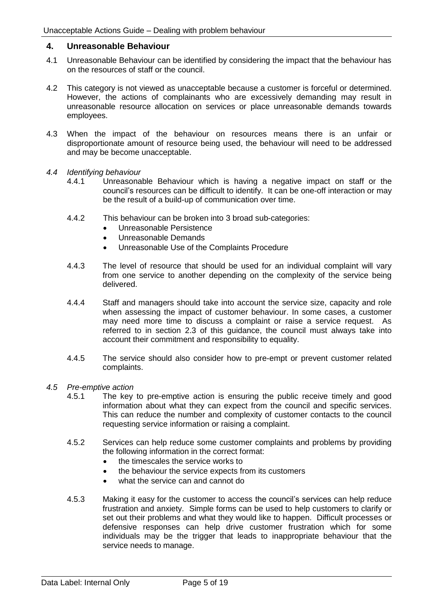## <span id="page-5-0"></span>**4. Unreasonable Behaviour**

- 4.1 Unreasonable Behaviour can be identified by considering the impact that the behaviour has on the resources of staff or the council.
- 4.2 This category is not viewed as unacceptable because a customer is forceful or determined. However, the actions of complainants who are excessively demanding may result in unreasonable resource allocation on services or place unreasonable demands towards employees.
- 4.3 When the impact of the behaviour on resources means there is an unfair or disproportionate amount of resource being used, the behaviour will need to be addressed and may be become unacceptable.
- <span id="page-5-1"></span>*4.4 Identifying behaviour*
	- 4.4.1 Unreasonable Behaviour which is having a negative impact on staff or the council's resources can be difficult to identify. It can be one-off interaction or may be the result of a build-up of communication over time.
	- 4.4.2 This behaviour can be broken into 3 broad sub-categories:
		- Unreasonable Persistence
		- Unreasonable Demands
		- Unreasonable Use of the Complaints Procedure
	- 4.4.3 The level of resource that should be used for an individual complaint will vary from one service to another depending on the complexity of the service being delivered.
	- 4.4.4 Staff and managers should take into account the service size, capacity and role when assessing the impact of customer behaviour. In some cases, a customer may need more time to discuss a complaint or raise a service request. As referred to in section 2.3 of this guidance, the council must always take into account their commitment and responsibility to equality.
	- 4.4.5 The service should also consider how to pre-empt or prevent customer related complaints.
- <span id="page-5-2"></span>*4.5 Pre-emptive action*
	- 4.5.1 The key to pre-emptive action is ensuring the public receive timely and good information about what they can expect from the council and specific services. This can reduce the number and complexity of customer contacts to the council requesting service information or raising a complaint.
	- 4.5.2 Services can help reduce some customer complaints and problems by providing the following information in the correct format:
		- the timescales the service works to
		- the behaviour the service expects from its customers
		- what the service can and cannot do
	- 4.5.3 Making it easy for the customer to access the council's services can help reduce frustration and anxiety. Simple forms can be used to help customers to clarify or set out their problems and what they would like to happen. Difficult processes or defensive responses can help drive customer frustration which for some individuals may be the trigger that leads to inappropriate behaviour that the service needs to manage.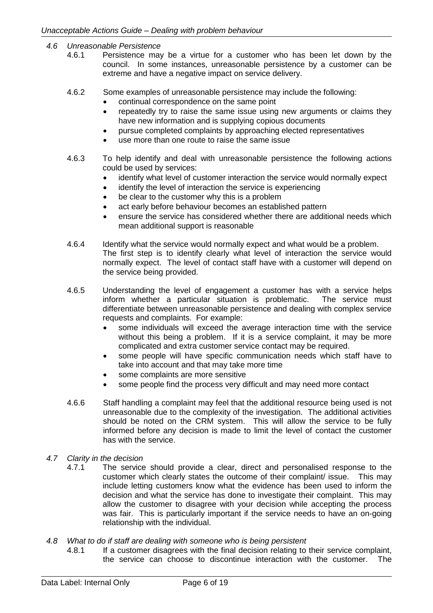- <span id="page-6-0"></span>*4.6 Unreasonable Persistence* 
	- 4.6.1 Persistence may be a virtue for a customer who has been let down by the council. In some instances, unreasonable persistence by a customer can be extreme and have a negative impact on service delivery.
	- 4.6.2 Some examples of unreasonable persistence may include the following:
		- continual correspondence on the same point
		- repeatedly try to raise the same issue using new arguments or claims they have new information and is supplying copious documents
		- pursue completed complaints by approaching elected representatives
		- use more than one route to raise the same issue
	- 4.6.3 To help identify and deal with unreasonable persistence the following actions could be used by services:
		- identify what level of customer interaction the service would normally expect
		- identify the level of interaction the service is experiencing
		- be clear to the customer why this is a problem
		- act early before behaviour becomes an established pattern
		- ensure the service has considered whether there are additional needs which mean additional support is reasonable
	- 4.6.4 Identify what the service would normally expect and what would be a problem. The first step is to identify clearly what level of interaction the service would normally expect. The level of contact staff have with a customer will depend on the service being provided.
	- 4.6.5 Understanding the level of engagement a customer has with a service helps inform whether a particular situation is problematic. The service must differentiate between unreasonable persistence and dealing with complex service requests and complaints. For example:
		- some individuals will exceed the average interaction time with the service without this being a problem. If it is a service complaint, it may be more complicated and extra customer service contact may be required.
		- some people will have specific communication needs which staff have to take into account and that may take more time
		- some complaints are more sensitive
		- some people find the process very difficult and may need more contact
	- 4.6.6 Staff handling a complaint may feel that the additional resource being used is not unreasonable due to the complexity of the investigation. The additional activities should be noted on the CRM system. This will allow the service to be fully informed before any decision is made to limit the level of contact the customer has with the service.
- <span id="page-6-1"></span>*4.7 Clarity in the decision*
	- 4.7.1 The service should provide a clear, direct and personalised response to the customer which clearly states the outcome of their complaint/ issue. This may include letting customers know what the evidence has been used to inform the decision and what the service has done to investigate their complaint. This may allow the customer to disagree with your decision while accepting the process was fair. This is particularly important if the service needs to have an on-going relationship with the individual.
- <span id="page-6-2"></span>*4.8 What to do if staff are dealing with someone who is being persistent*
	- 4.8.1 If a customer disagrees with the final decision relating to their service complaint, the service can choose to discontinue interaction with the customer. The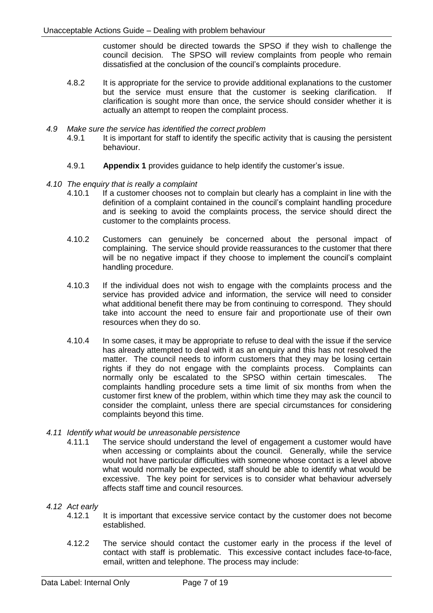customer should be directed towards the SPSO if they wish to challenge the council decision. The SPSO will review complaints from people who remain dissatisfied at the conclusion of the council's complaints procedure.

- 4.8.2 It is appropriate for the service to provide additional explanations to the customer but the service must ensure that the customer is seeking clarification. clarification is sought more than once, the service should consider whether it is actually an attempt to reopen the complaint process.
- <span id="page-7-0"></span>*4.9 Make sure the service has identified the correct problem*
	- 4.9.1 It is important for staff to identify the specific activity that is causing the persistent behaviour.
	- 4.9.1 **Appendix 1** provides guidance to help identify the customer's issue.
- <span id="page-7-1"></span>*4.10 The enquiry that is really a complaint*
	- 4.10.1 If a customer chooses not to complain but clearly has a complaint in line with the definition of a complaint contained in the council's complaint handling procedure and is seeking to avoid the complaints process, the service should direct the customer to the complaints process.
	- 4.10.2 Customers can genuinely be concerned about the personal impact of complaining. The service should provide reassurances to the customer that there will be no negative impact if they choose to implement the council's complaint handling procedure.
	- 4.10.3 If the individual does not wish to engage with the complaints process and the service has provided advice and information, the service will need to consider what additional benefit there may be from continuing to correspond. They should take into account the need to ensure fair and proportionate use of their own resources when they do so.
	- 4.10.4 In some cases, it may be appropriate to refuse to deal with the issue if the service has already attempted to deal with it as an enquiry and this has not resolved the matter. The council needs to inform customers that they may be losing certain rights if they do not engage with the complaints process. Complaints can normally only be escalated to the SPSO within certain timescales. The complaints handling procedure sets a time limit of six months from when the customer first knew of the problem, within which time they may ask the council to consider the complaint, unless there are special circumstances for considering complaints beyond this time.
- <span id="page-7-2"></span>*4.11 Identify what would be unreasonable persistence*
	- 4.11.1 The service should understand the level of engagement a customer would have when accessing or complaints about the council. Generally, while the service would not have particular difficulties with someone whose contact is a level above what would normally be expected, staff should be able to identify what would be excessive. The key point for services is to consider what behaviour adversely affects staff time and council resources.

## <span id="page-7-3"></span>*4.12 Act early*

- 4.12.1 It is important that excessive service contact by the customer does not become established.
- 4.12.2 The service should contact the customer early in the process if the level of contact with staff is problematic. This excessive contact includes face-to-face, email, written and telephone. The process may include: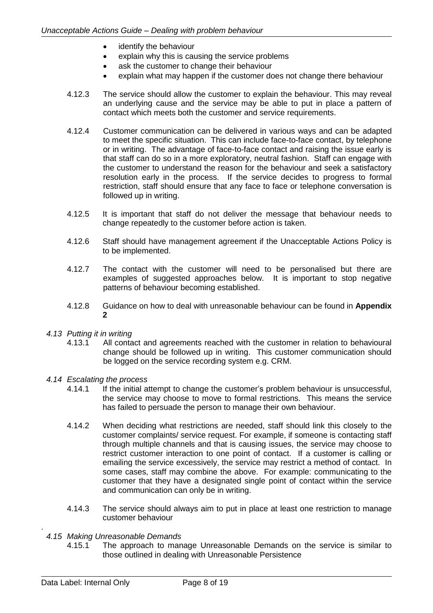- identify the behaviour
- explain why this is causing the service problems
- ask the customer to change their behaviour
- explain what may happen if the customer does not change there behaviour
- 4.12.3 The service should allow the customer to explain the behaviour. This may reveal an underlying cause and the service may be able to put in place a pattern of contact which meets both the customer and service requirements.
- 4.12.4 Customer communication can be delivered in various ways and can be adapted to meet the specific situation. This can include face-to-face contact, by telephone or in writing. The advantage of face-to-face contact and raising the issue early is that staff can do so in a more exploratory, neutral fashion. Staff can engage with the customer to understand the reason for the behaviour and seek a satisfactory resolution early in the process. If the service decides to progress to formal restriction, staff should ensure that any face to face or telephone conversation is followed up in writing.
- 4.12.5 It is important that staff do not deliver the message that behaviour needs to change repeatedly to the customer before action is taken.
- 4.12.6 Staff should have management agreement if the Unacceptable Actions Policy is to be implemented.
- 4.12.7 The contact with the customer will need to be personalised but there are examples of suggested approaches below. It is important to stop negative patterns of behaviour becoming established.
- 4.12.8 Guidance on how to deal with unreasonable behaviour can be found in **Appendix 2**
- <span id="page-8-0"></span>*4.13 Putting it in writing*
	- 4.13.1 All contact and agreements reached with the customer in relation to behavioural change should be followed up in writing. This customer communication should be logged on the service recording system e.g. CRM.
- <span id="page-8-1"></span>*4.14 Escalating the process*
	- 4.14.1 If the initial attempt to change the customer's problem behaviour is unsuccessful, the service may choose to move to formal restrictions. This means the service has failed to persuade the person to manage their own behaviour.
	- 4.14.2 When deciding what restrictions are needed, staff should link this closely to the customer complaints/ service request. For example, if someone is contacting staff through multiple channels and that is causing issues, the service may choose to restrict customer interaction to one point of contact. If a customer is calling or emailing the service excessively, the service may restrict a method of contact. In some cases, staff may combine the above. For example: communicating to the customer that they have a designated single point of contact within the service and communication can only be in writing.
	- 4.14.3 The service should always aim to put in place at least one restriction to manage customer behaviour
- <span id="page-8-2"></span>*4.15 Making Unreasonable Demands*
	- 4.15.1 The approach to manage Unreasonable Demands on the service is similar to those outlined in dealing with Unreasonable Persistence

.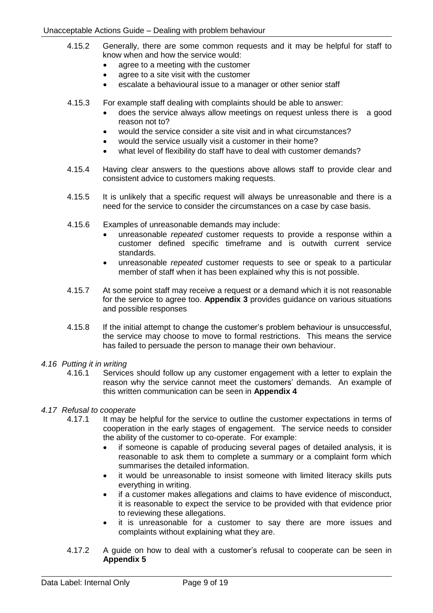- 4.15.2 Generally, there are some common requests and it may be helpful for staff to know when and how the service would:
	- agree to a meeting with the customer
	- agree to a site visit with the customer
	- escalate a behavioural issue to a manager or other senior staff
- 4.15.3 For example staff dealing with complaints should be able to answer:
	- does the service always allow meetings on request unless there is a good reason not to?
	- would the service consider a site visit and in what circumstances?
	- would the service usually visit a customer in their home?
	- what level of flexibility do staff have to deal with customer demands?
- 4.15.4 Having clear answers to the questions above allows staff to provide clear and consistent advice to customers making requests.
- 4.15.5 It is unlikely that a specific request will always be unreasonable and there is a need for the service to consider the circumstances on a case by case basis.
- 4.15.6 Examples of unreasonable demands may include:
	- unreasonable *repeated* customer requests to provide a response within a customer defined specific timeframe and is outwith current service standards.
	- unreasonable *repeated* customer requests to see or speak to a particular member of staff when it has been explained why this is not possible.
- 4.15.7 At some point staff may receive a request or a demand which it is not reasonable for the service to agree too. **Appendix 3** provides guidance on various situations and possible responses
- 4.15.8 If the initial attempt to change the customer's problem behaviour is unsuccessful, the service may choose to move to formal restrictions. This means the service has failed to persuade the person to manage their own behaviour.
- <span id="page-9-0"></span>*4.16 Putting it in writing*
	- 4.16.1 Services should follow up any customer engagement with a letter to explain the reason why the service cannot meet the customers' demands. An example of this written communication can be seen in **Appendix 4**
- <span id="page-9-1"></span>*4.17 Refusal to cooperate*
	- 4.17.1 It may be helpful for the service to outline the customer expectations in terms of cooperation in the early stages of engagement. The service needs to consider the ability of the customer to co-operate. For example:
		- if someone is capable of producing several pages of detailed analysis, it is reasonable to ask them to complete a summary or a complaint form which summarises the detailed information.
		- it would be unreasonable to insist someone with limited literacy skills puts everything in writing.
		- if a customer makes allegations and claims to have evidence of misconduct, it is reasonable to expect the service to be provided with that evidence prior to reviewing these allegations.
		- it is unreasonable for a customer to say there are more issues and complaints without explaining what they are.
	- 4.17.2 A guide on how to deal with a customer's refusal to cooperate can be seen in **Appendix 5**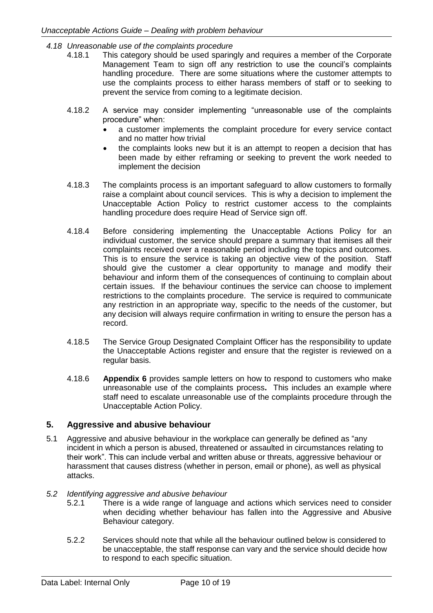- <span id="page-10-0"></span>*4.18 Unreasonable use of the complaints procedure*
	- 4.18.1 This category should be used sparingly and requires a member of the Corporate Management Team to sign off any restriction to use the council's complaints handling procedure. There are some situations where the customer attempts to use the complaints process to either harass members of staff or to seeking to prevent the service from coming to a legitimate decision.
	- 4.18.2 A service may consider implementing "unreasonable use of the complaints procedure" when:
		- a customer implements the complaint procedure for every service contact and no matter how trivial
		- the complaints looks new but it is an attempt to reopen a decision that has been made by either reframing or seeking to prevent the work needed to implement the decision
	- 4.18.3 The complaints process is an important safeguard to allow customers to formally raise a complaint about council services. This is why a decision to implement the Unacceptable Action Policy to restrict customer access to the complaints handling procedure does require Head of Service sign off.
	- 4.18.4 Before considering implementing the Unacceptable Actions Policy for an individual customer, the service should prepare a summary that itemises all their complaints received over a reasonable period including the topics and outcomes. This is to ensure the service is taking an objective view of the position. Staff should give the customer a clear opportunity to manage and modify their behaviour and inform them of the consequences of continuing to complain about certain issues. If the behaviour continues the service can choose to implement restrictions to the complaints procedure. The service is required to communicate any restriction in an appropriate way, specific to the needs of the customer, but any decision will always require confirmation in writing to ensure the person has a record.
	- 4.18.5 The Service Group Designated Complaint Officer has the responsibility to update the Unacceptable Actions register and ensure that the register is reviewed on a regular basis.
	- 4.18.6 **Appendix 6** provides sample letters on how to respond to customers who make unreasonable use of the complaints process**.** This includes an example where staff need to escalate unreasonable use of the complaints procedure through the Unacceptable Action Policy.

# <span id="page-10-1"></span>**5. Aggressive and abusive behaviour**

5.1 Aggressive and abusive behaviour in the workplace can generally be defined as "any incident in which a person is abused, threatened or assaulted in circumstances relating to their work". This can include verbal and written abuse or threats, aggressive behaviour or harassment that causes distress (whether in person, email or phone), as well as physical attacks.

## <span id="page-10-2"></span>*5.2 Identifying aggressive and abusive behaviour*

- 5.2.1 There is a wide range of language and actions which services need to consider when deciding whether behaviour has fallen into the Aggressive and Abusive Behaviour category.
- 5.2.2 Services should note that while all the behaviour outlined below is considered to be unacceptable, the staff response can vary and the service should decide how to respond to each specific situation.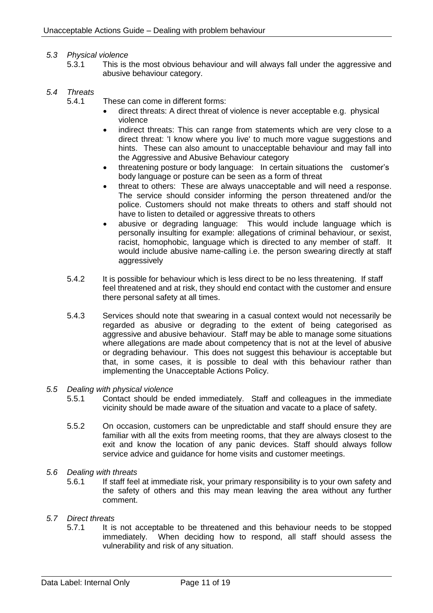### <span id="page-11-0"></span>*5.3 Physical violence*

5.3.1 This is the most obvious behaviour and will always fall under the aggressive and abusive behaviour category.

### <span id="page-11-1"></span>*5.4 Threats*

- 5.4.1 These can come in different forms:
	- direct threats: A direct threat of violence is never acceptable e.g. physical violence
	- indirect threats: This can range from statements which are very close to a direct threat: 'I know where you live' to much more vague suggestions and hints. These can also amount to unacceptable behaviour and may fall into the Aggressive and Abusive Behaviour category
	- threatening posture or body language: In certain situations the customer's body language or posture can be seen as a form of threat
	- threat to others: These are always unacceptable and will need a response. The service should consider informing the person threatened and/or the police. Customers should not make threats to others and staff should not have to listen to detailed or aggressive threats to others
	- abusive or degrading language: This would include language which is personally insulting for example: allegations of criminal behaviour, or sexist, racist, homophobic, language which is directed to any member of staff. It would include abusive name-calling i.e. the person swearing directly at staff aggressively
- 5.4.2 It is possible for behaviour which is less direct to be no less threatening. If staff feel threatened and at risk, they should end contact with the customer and ensure there personal safety at all times.
- 5.4.3 Services should note that swearing in a casual context would not necessarily be regarded as abusive or degrading to the extent of being categorised as aggressive and abusive behaviour. Staff may be able to manage some situations where allegations are made about competency that is not at the level of abusive or degrading behaviour. This does not suggest this behaviour is acceptable but that, in some cases, it is possible to deal with this behaviour rather than implementing the Unacceptable Actions Policy.
- <span id="page-11-2"></span>*5.5 Dealing with physical violence*
	- 5.5.1 Contact should be ended immediately. Staff and colleagues in the immediate vicinity should be made aware of the situation and vacate to a place of safety.
	- 5.5.2 On occasion, customers can be unpredictable and staff should ensure they are familiar with all the exits from meeting rooms, that they are always closest to the exit and know the location of any panic devices. Staff should always follow service advice and guidance for home visits and customer meetings.
- <span id="page-11-3"></span>*5.6 Dealing with threats*
	- 5.6.1 If staff feel at immediate risk, your primary responsibility is to your own safety and the safety of others and this may mean leaving the area without any further comment.
- <span id="page-11-4"></span>*5.7 Direct threats*
	- 5.7.1 It is not acceptable to be threatened and this behaviour needs to be stopped immediately. When deciding how to respond, all staff should assess the vulnerability and risk of any situation.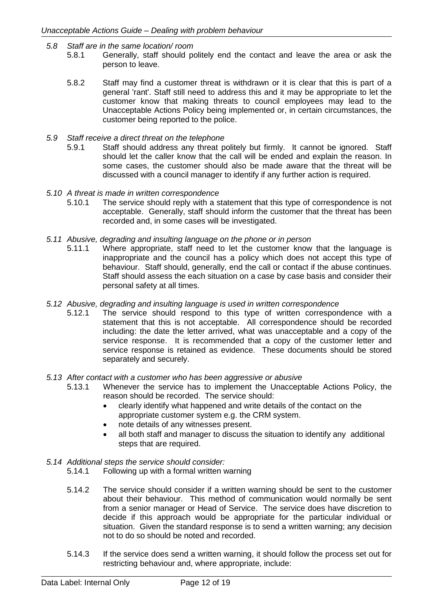- <span id="page-12-0"></span>*5.8 Staff are in the same location/ room*
	- 5.8.1 Generally, staff should politely end the contact and leave the area or ask the person to leave.
	- 5.8.2 Staff may find a customer threat is withdrawn or it is clear that this is part of a general 'rant'. Staff still need to address this and it may be appropriate to let the customer know that making threats to council employees may lead to the Unacceptable Actions Policy being implemented or, in certain circumstances, the customer being reported to the police.
- <span id="page-12-1"></span>*5.9 Staff receive a direct threat on the telephone*
	- 5.9.1 Staff should address any threat politely but firmly. It cannot be ignored. Staff should let the caller know that the call will be ended and explain the reason. In some cases, the customer should also be made aware that the threat will be discussed with a council manager to identify if any further action is required.
- <span id="page-12-2"></span>*5.10 A threat is made in written correspondence*
	- 5.10.1 The service should reply with a statement that this type of correspondence is not acceptable. Generally, staff should inform the customer that the threat has been recorded and, in some cases will be investigated.
- <span id="page-12-3"></span>*5.11 Abusive, degrading and insulting language on the phone or in person*
	- 5.11.1 Where appropriate, staff need to let the customer know that the language is inappropriate and the council has a policy which does not accept this type of behaviour. Staff should, generally, end the call or contact if the abuse continues. Staff should assess the each situation on a case by case basis and consider their personal safety at all times.
- <span id="page-12-4"></span>*5.12 Abusive, degrading and insulting language is used in written correspondence*
	- 5.12.1 The service should respond to this type of written correspondence with a statement that this is not acceptable. All correspondence should be recorded including: the date the letter arrived, what was unacceptable and a copy of the service response. It is recommended that a copy of the customer letter and service response is retained as evidence. These documents should be stored separately and securely.

### <span id="page-12-5"></span>*5.13 After contact with a customer who has been aggressive or abusive*

- 5.13.1 Whenever the service has to implement the Unacceptable Actions Policy, the reason should be recorded. The service should:
	- clearly identify what happened and write details of the contact on the appropriate customer system e.g. the CRM system.
	- note details of any witnesses present.
	- all both staff and manager to discuss the situation to identify any additional steps that are required.
- <span id="page-12-6"></span>*5.14 Additional steps the service should consider:*
	- 5.14.1 Following up with a formal written warning
	- 5.14.2 The service should consider if a written warning should be sent to the customer about their behaviour. This method of communication would normally be sent from a senior manager or Head of Service. The service does have discretion to decide if this approach would be appropriate for the particular individual or situation. Given the standard response is to send a written warning; any decision not to do so should be noted and recorded.
	- 5.14.3 If the service does send a written warning, it should follow the process set out for restricting behaviour and, where appropriate, include: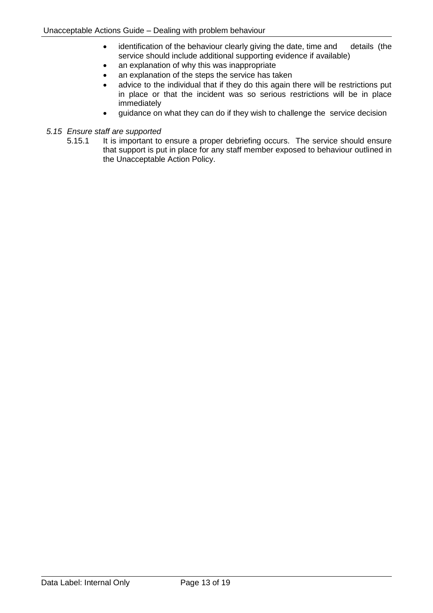- identification of the behaviour clearly giving the date, time and details (the service should include additional supporting evidence if available)
- an explanation of why this was inappropriate
- an explanation of the steps the service has taken
- advice to the individual that if they do this again there will be restrictions put in place or that the incident was so serious restrictions will be in place immediately
- guidance on what they can do if they wish to challenge the service decision

## <span id="page-13-0"></span>*5.15 Ensure staff are supported*

5.15.1 It is important to ensure a proper debriefing occurs. The service should ensure that support is put in place for any staff member exposed to behaviour outlined in the Unacceptable Action Policy.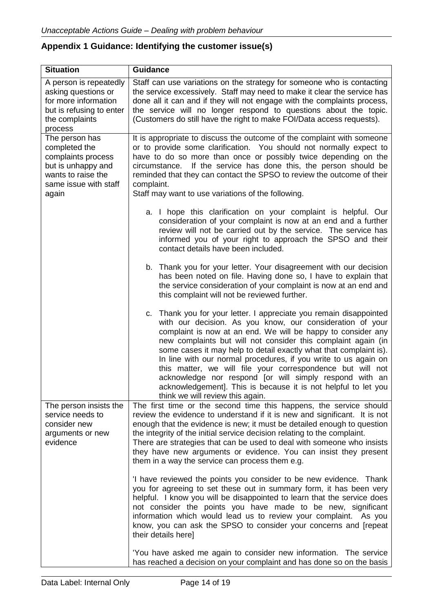# <span id="page-14-0"></span>**Appendix 1 Guidance: Identifying the customer issue(s)**

| <b>Situation</b>                                                                                                                    | <b>Guidance</b>                                                                                                                                                                                                                                                                                                                                                                                                                                                                                                                                                                                                                         |
|-------------------------------------------------------------------------------------------------------------------------------------|-----------------------------------------------------------------------------------------------------------------------------------------------------------------------------------------------------------------------------------------------------------------------------------------------------------------------------------------------------------------------------------------------------------------------------------------------------------------------------------------------------------------------------------------------------------------------------------------------------------------------------------------|
| A person is repeatedly<br>asking questions or<br>for more information<br>but is refusing to enter<br>the complaints<br>process      | Staff can use variations on the strategy for someone who is contacting<br>the service excessively. Staff may need to make it clear the service has<br>done all it can and if they will not engage with the complaints process,<br>the service will no longer respond to questions about the topic.<br>(Customers do still have the right to make FOI/Data access requests).                                                                                                                                                                                                                                                             |
| The person has<br>completed the<br>complaints process<br>but is unhappy and<br>wants to raise the<br>same issue with staff<br>again | It is appropriate to discuss the outcome of the complaint with someone<br>or to provide some clarification. You should not normally expect to<br>have to do so more than once or possibly twice depending on the<br>circumstance. If the service has done this, the person should be<br>reminded that they can contact the SPSO to review the outcome of their<br>complaint.<br>Staff may want to use variations of the following.                                                                                                                                                                                                      |
|                                                                                                                                     | a. I hope this clarification on your complaint is helpful. Our<br>consideration of your complaint is now at an end and a further<br>review will not be carried out by the service. The service has<br>informed you of your right to approach the SPSO and their<br>contact details have been included.                                                                                                                                                                                                                                                                                                                                  |
|                                                                                                                                     | b. Thank you for your letter. Your disagreement with our decision<br>has been noted on file. Having done so, I have to explain that<br>the service consideration of your complaint is now at an end and<br>this complaint will not be reviewed further.                                                                                                                                                                                                                                                                                                                                                                                 |
|                                                                                                                                     | c. Thank you for your letter. I appreciate you remain disappointed<br>with our decision. As you know, our consideration of your<br>complaint is now at an end. We will be happy to consider any<br>new complaints but will not consider this complaint again (in<br>some cases it may help to detail exactly what that complaint is).<br>In line with our normal procedures, if you write to us again on<br>this matter, we will file your correspondence but will not<br>acknowledge nor respond [or will simply respond with an<br>acknowledgement]. This is because it is not helpful to let you<br>think we will review this again. |
| The person insists the<br>service needs to<br>consider new<br>arguments or new<br>evidence                                          | The first time or the second time this happens, the service should<br>review the evidence to understand if it is new and significant. It is not<br>enough that the evidence is new; it must be detailed enough to question<br>the integrity of the initial service decision relating to the complaint.<br>There are strategies that can be used to deal with someone who insists<br>they have new arguments or evidence. You can insist they present<br>them in a way the service can process them e.g.                                                                                                                                 |
|                                                                                                                                     | 'I have reviewed the points you consider to be new evidence. Thank<br>you for agreeing to set these out in summary form, it has been very<br>helpful. I know you will be disappointed to learn that the service does<br>not consider the points you have made to be new, significant<br>information which would lead us to review your complaint. As you<br>know, you can ask the SPSO to consider your concerns and [repeat<br>their details here]                                                                                                                                                                                     |
|                                                                                                                                     | 'You have asked me again to consider new information. The service<br>has reached a decision on your complaint and has done so on the basis                                                                                                                                                                                                                                                                                                                                                                                                                                                                                              |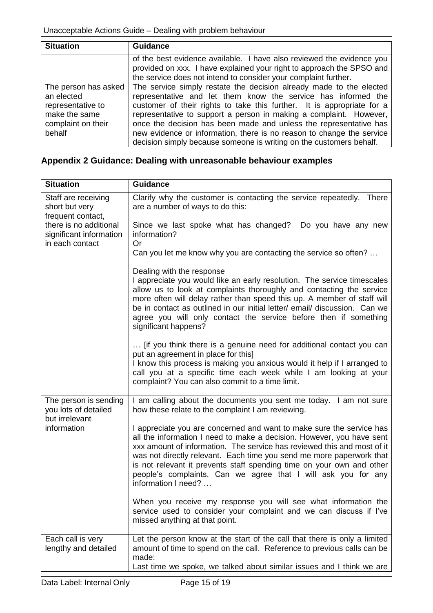| <b>Situation</b>                                                                                         | <b>Guidance</b>                                                                                                                                                                                                                                                                                                                                                                                                                                                                                           |
|----------------------------------------------------------------------------------------------------------|-----------------------------------------------------------------------------------------------------------------------------------------------------------------------------------------------------------------------------------------------------------------------------------------------------------------------------------------------------------------------------------------------------------------------------------------------------------------------------------------------------------|
|                                                                                                          | of the best evidence available. I have also reviewed the evidence you<br>provided on xxx. I have explained your right to approach the SPSO and<br>the service does not intend to consider your complaint further.                                                                                                                                                                                                                                                                                         |
| The person has asked<br>an elected<br>representative to<br>make the same<br>complaint on their<br>behalf | The service simply restate the decision already made to the elected<br>representative and let them know the service has informed the<br>customer of their rights to take this further. It is appropriate for a<br>representative to support a person in making a complaint. However,<br>once the decision has been made and unless the representative has<br>new evidence or information, there is no reason to change the service<br>decision simply because someone is writing on the customers behalf. |

# <span id="page-15-0"></span>**Appendix 2 Guidance: Dealing with unreasonable behaviour examples**

| <b>Situation</b>                                                     | <b>Guidance</b>                                                                                                                                                                                                                                                                                                                                                                                                                                                   |
|----------------------------------------------------------------------|-------------------------------------------------------------------------------------------------------------------------------------------------------------------------------------------------------------------------------------------------------------------------------------------------------------------------------------------------------------------------------------------------------------------------------------------------------------------|
| Staff are receiving<br>short but very<br>frequent contact,           | Clarify why the customer is contacting the service repeatedly. There<br>are a number of ways to do this:                                                                                                                                                                                                                                                                                                                                                          |
| there is no additional<br>significant information<br>in each contact | Since we last spoke what has changed? Do you have any new<br>information?<br>Or                                                                                                                                                                                                                                                                                                                                                                                   |
|                                                                      | Can you let me know why you are contacting the service so often?                                                                                                                                                                                                                                                                                                                                                                                                  |
|                                                                      | Dealing with the response<br>I appreciate you would like an early resolution. The service timescales<br>allow us to look at complaints thoroughly and contacting the service<br>more often will delay rather than speed this up. A member of staff will<br>be in contact as outlined in our initial letter/ email/ discussion. Can we<br>agree you will only contact the service before then if something<br>significant happens?                                 |
|                                                                      | [if you think there is a genuine need for additional contact you can<br>put an agreement in place for this]<br>I know this process is making you anxious would it help if I arranged to<br>call you at a specific time each week while I am looking at your<br>complaint? You can also commit to a time limit.                                                                                                                                                    |
| The person is sending<br>you lots of detailed<br>but irrelevant      | I am calling about the documents you sent me today. I am not sure<br>how these relate to the complaint I am reviewing.                                                                                                                                                                                                                                                                                                                                            |
| information                                                          | I appreciate you are concerned and want to make sure the service has<br>all the information I need to make a decision. However, you have sent<br>xxx amount of information. The service has reviewed this and most of it<br>was not directly relevant. Each time you send me more paperwork that<br>is not relevant it prevents staff spending time on your own and other<br>people's complaints. Can we agree that I will ask you for any<br>information I need? |
|                                                                      | When you receive my response you will see what information the<br>service used to consider your complaint and we can discuss if I've<br>missed anything at that point.                                                                                                                                                                                                                                                                                            |
| Each call is very<br>lengthy and detailed                            | Let the person know at the start of the call that there is only a limited<br>amount of time to spend on the call. Reference to previous calls can be<br>made:                                                                                                                                                                                                                                                                                                     |
|                                                                      | Last time we spoke, we talked about similar issues and I think we are                                                                                                                                                                                                                                                                                                                                                                                             |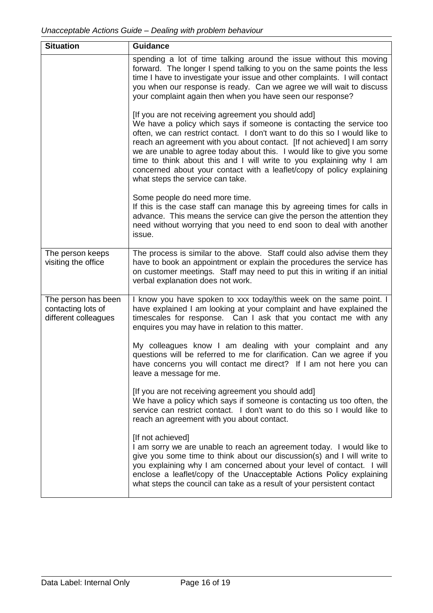| <b>Situation</b>                                                  | <b>Guidance</b>                                                                                                                                                                                                                                                                                                                                                                                                                                                                                                                                     |
|-------------------------------------------------------------------|-----------------------------------------------------------------------------------------------------------------------------------------------------------------------------------------------------------------------------------------------------------------------------------------------------------------------------------------------------------------------------------------------------------------------------------------------------------------------------------------------------------------------------------------------------|
|                                                                   | spending a lot of time talking around the issue without this moving<br>forward. The longer I spend talking to you on the same points the less<br>time I have to investigate your issue and other complaints. I will contact<br>you when our response is ready. Can we agree we will wait to discuss<br>your complaint again then when you have seen our response?                                                                                                                                                                                   |
|                                                                   | [If you are not receiving agreement you should add]<br>We have a policy which says if someone is contacting the service too<br>often, we can restrict contact. I don't want to do this so I would like to<br>reach an agreement with you about contact. [If not achieved] I am sorry<br>we are unable to agree today about this. I would like to give you some<br>time to think about this and I will write to you explaining why I am<br>concerned about your contact with a leaflet/copy of policy explaining<br>what steps the service can take. |
|                                                                   | Some people do need more time.<br>If this is the case staff can manage this by agreeing times for calls in<br>advance. This means the service can give the person the attention they<br>need without worrying that you need to end soon to deal with another<br>issue.                                                                                                                                                                                                                                                                              |
| The person keeps<br>visiting the office                           | The process is similar to the above. Staff could also advise them they<br>have to book an appointment or explain the procedures the service has<br>on customer meetings. Staff may need to put this in writing if an initial<br>verbal explanation does not work.                                                                                                                                                                                                                                                                                   |
| The person has been<br>contacting lots of<br>different colleagues | I know you have spoken to xxx today/this week on the same point. I<br>have explained I am looking at your complaint and have explained the<br>timescales for response. Can I ask that you contact me with any<br>enquires you may have in relation to this matter.                                                                                                                                                                                                                                                                                  |
|                                                                   | My colleagues know I am dealing with your complaint and any<br>questions will be referred to me for clarification. Can we agree if you<br>have concerns you will contact me direct? If I am not here you can<br>leave a message for me.                                                                                                                                                                                                                                                                                                             |
|                                                                   | [If you are not receiving agreement you should add]<br>We have a policy which says if someone is contacting us too often, the<br>service can restrict contact. I don't want to do this so I would like to<br>reach an agreement with you about contact.                                                                                                                                                                                                                                                                                             |
|                                                                   | [If not achieved]<br>I am sorry we are unable to reach an agreement today. I would like to<br>give you some time to think about our discussion(s) and I will write to<br>you explaining why I am concerned about your level of contact. I will<br>enclose a leaflet/copy of the Unacceptable Actions Policy explaining<br>what steps the council can take as a result of your persistent contact                                                                                                                                                    |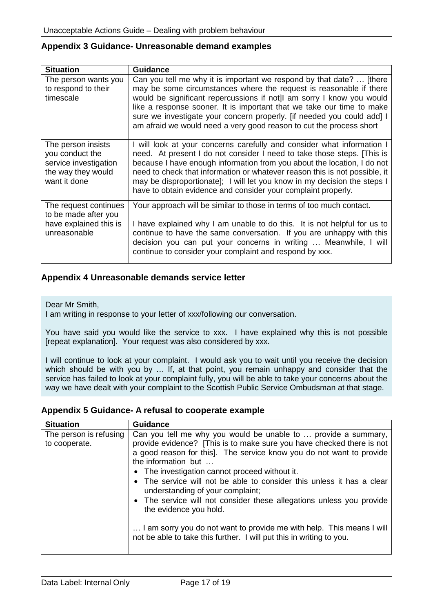## <span id="page-17-0"></span>**Appendix 3 Guidance- Unreasonable demand examples**

| <b>Situation</b>                                                                                     | <b>Guidance</b>                                                                                                                                                                                                                                                                                                                                                                                                                                         |
|------------------------------------------------------------------------------------------------------|---------------------------------------------------------------------------------------------------------------------------------------------------------------------------------------------------------------------------------------------------------------------------------------------------------------------------------------------------------------------------------------------------------------------------------------------------------|
| The person wants you<br>to respond to their<br>timescale                                             | Can you tell me why it is important we respond by that date?  [there<br>may be some circumstances where the request is reasonable if there<br>would be significant repercussions if not]I am sorry I know you would<br>like a response sooner. It is important that we take our time to make<br>sure we investigate your concern properly. [if needed you could add] I<br>am afraid we would need a very good reason to cut the process short           |
| The person insists<br>you conduct the<br>service investigation<br>the way they would<br>want it done | I will look at your concerns carefully and consider what information I<br>need. At present I do not consider I need to take those steps. [This is<br>because I have enough information from you about the location, I do not<br>need to check that information or whatever reason this is not possible, it<br>may be disproportionate]; I will let you know in my decision the steps I<br>have to obtain evidence and consider your complaint properly. |
| The request continues<br>to be made after you<br>have explained this is<br>unreasonable              | Your approach will be similar to those in terms of too much contact.<br>I have explained why I am unable to do this. It is not helpful for us to<br>continue to have the same conversation. If you are unhappy with this<br>decision you can put your concerns in writing  Meanwhile, I will<br>continue to consider your complaint and respond by xxx.                                                                                                 |

## <span id="page-17-1"></span>**Appendix 4 Unreasonable demands service letter**

Dear Mr Smith,

I am writing in response to your letter of xxx/following our conversation.

You have said you would like the service to xxx. I have explained why this is not possible [repeat explanation]. Your request was also considered by xxx.

I will continue to look at your complaint. I would ask you to wait until you receive the decision which should be with you by ... If, at that point, you remain unhappy and consider that the service has failed to look at your complaint fully, you will be able to take your concerns about the way we have dealt with your complaint to the Scottish Public Service Ombudsman at that stage.

## <span id="page-17-2"></span>**Appendix 5 Guidance- A refusal to cooperate example**

| <b>Situation</b>                        | <b>Guidance</b>                                                                                                                                                                                                                                                                                                                                                                                                                                                                                                                                                                                                                                          |
|-----------------------------------------|----------------------------------------------------------------------------------------------------------------------------------------------------------------------------------------------------------------------------------------------------------------------------------------------------------------------------------------------------------------------------------------------------------------------------------------------------------------------------------------------------------------------------------------------------------------------------------------------------------------------------------------------------------|
| The person is refusing<br>to cooperate. | Can you tell me why you would be unable to  provide a summary,<br>provide evidence? [This is to make sure you have checked there is not<br>a good reason for this]. The service know you do not want to provide<br>the information but<br>• The investigation cannot proceed without it.<br>• The service will not be able to consider this unless it has a clear<br>understanding of your complaint;<br>• The service will not consider these allegations unless you provide<br>the evidence you hold.<br>I am sorry you do not want to provide me with help. This means I will<br>not be able to take this further. I will put this in writing to you. |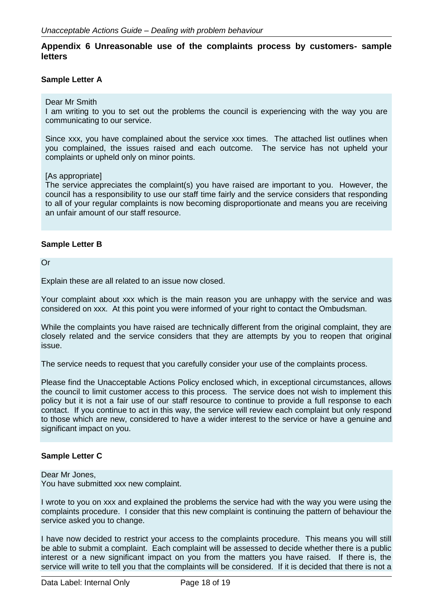## <span id="page-18-0"></span>**Appendix 6 Unreasonable use of the complaints process by customers- sample letters**

### **Sample Letter A**

#### Dear Mr Smith

I am writing to you to set out the problems the council is experiencing with the way you are communicating to our service.

Since xxx, you have complained about the service xxx times. The attached list outlines when you complained, the issues raised and each outcome. The service has not upheld your complaints or upheld only on minor points.

#### [As appropriate]

The service appreciates the complaint(s) you have raised are important to you. However, the council has a responsibility to use our staff time fairly and the service considers that responding to all of your regular complaints is now becoming disproportionate and means you are receiving an unfair amount of our staff resource.

### **Sample Letter B**

Or

Explain these are all related to an issue now closed.

Your complaint about xxx which is the main reason you are unhappy with the service and was considered on xxx. At this point you were informed of your right to contact the Ombudsman.

While the complaints you have raised are technically different from the original complaint, they are closely related and the service considers that they are attempts by you to reopen that original issue.

The service needs to request that you carefully consider your use of the complaints process.

Please find the Unacceptable Actions Policy enclosed which, in exceptional circumstances, allows the council to limit customer access to this process. The service does not wish to implement this policy but it is not a fair use of our staff resource to continue to provide a full response to each contact. If you continue to act in this way, the service will review each complaint but only respond to those which are new, considered to have a wider interest to the service or have a genuine and significant impact on you.

### **Sample Letter C**

Dear Mr Jones, You have submitted xxx new complaint.

I wrote to you on xxx and explained the problems the service had with the way you were using the complaints procedure. I consider that this new complaint is continuing the pattern of behaviour the service asked you to change.

I have now decided to restrict your access to the complaints procedure. This means you will still be able to submit a complaint. Each complaint will be assessed to decide whether there is a public interest or a new significant impact on you from the matters you have raised. If there is, the service will write to tell you that the complaints will be considered. If it is decided that there is not a